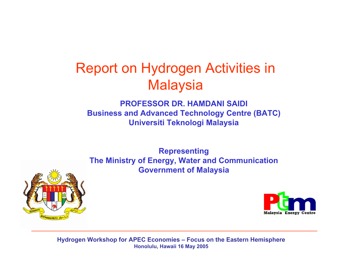## Report on Hydrogen Activities in **Malaysia**

#### **PROFESSOR DR. HAMDANI SAIDIBusiness and Advanced Technology Centre (BATC) Universiti Teknologi Malaysia**

**Representing The Ministry of Energy, Water and Communication Government of Malaysia**



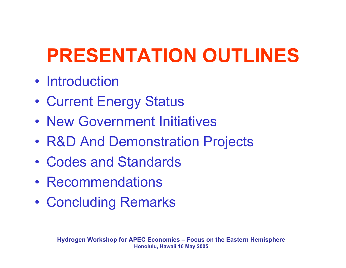# **PRESENTATION OUTLINES**

- Introduction
- •Current Energy Status
- New Government Initiatives
- •R & D And Demonstration Projects
- •Codes and Standards
- •Recommendations
- •Concluding Remarks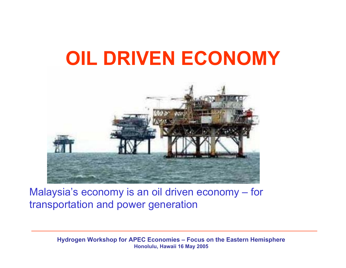# **OIL DRIVEN ECONOMY**



Malaysia's economy is an oil driven economy – for transportation and power generation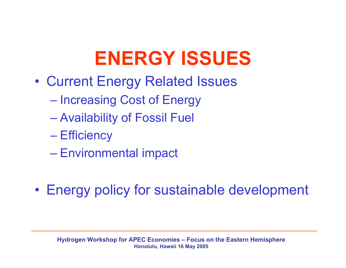# **ENERGY ISSUES**

- • Current Energy Related Issues
	- $\mathcal{L}_{\mathcal{A}}$  , and the set of the set of the set of the set of the set of the set of the set of the set of the set of the set of the set of the set of the set of the set of the set of the set of the set of the set of th – Increasing Cost of Energy
	- Availability of Fossil Fuel
	- Efficiency
	- Environmental impact
- •Energy policy for sustainable development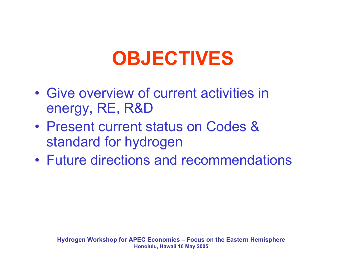## **OBJECTIVES**

- •Give overview of current activities in energy, RE, R&D
- •Present current status on Codes & standard for hydrogen
- •Future directions and recommendations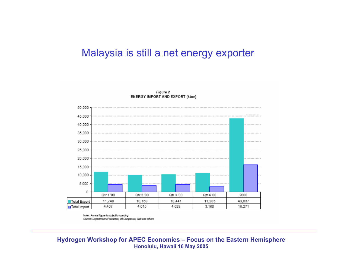#### Malaysia is still a net energy exporter



Note: Annual figure is subject to rounding Source: Department of Statistics, OI Companies, TNB and others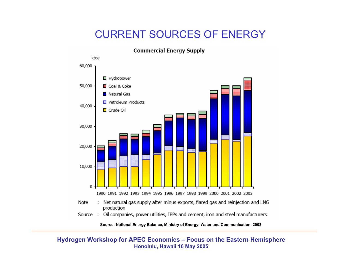### CURRENT SOURCES OF ENERGY



**Source: National Energ y Balance, Ministry of Energ y, Water an d Communication, 2003**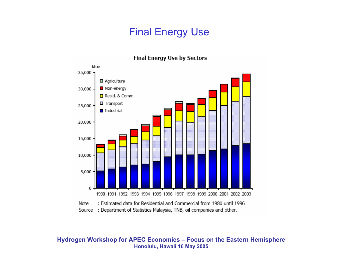### Final Energy Use



#### **Final Energy Use by Sectors**

Source : Department of Statistics Malaysia, TNB, oil companies and other.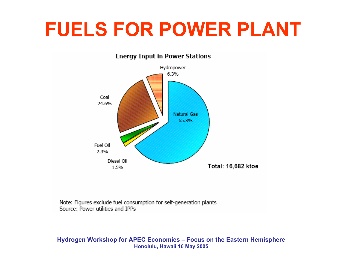## **FUELS FOR POWER PLANT**



**Energy Input in Power Stations** 

Note: Figures exclude fuel consumption for self-generation plants Source: Power utilities and IPPs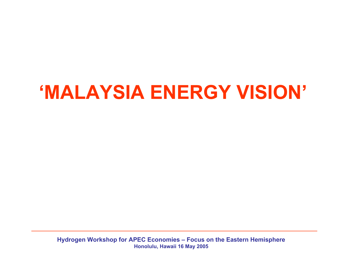# **'MALAYSIA ENERGY VISION'**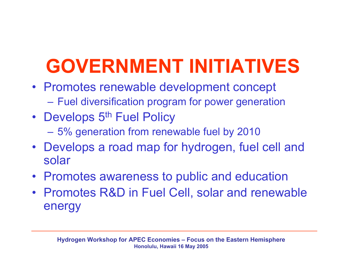# **GOVERNMENT INITIATIVES**

- Promotes renewable development concept – Fuel diversification program for power generation
- Develops 5th Fuel Policy
	- 5% generation from renewable fuel by 2010
- Develops a road map for hydrogen, fuel cell and solar
- •Promotes awareness to public and education
- Promotes R&D in Fuel Cell, solar and renewable energy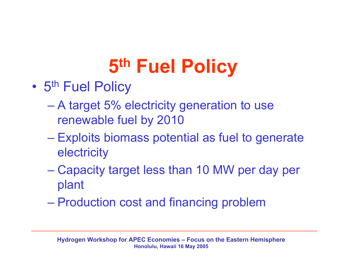# **5th Fuel Policy**

- •5<sup>th</sup> Fuel Policy
	- A target 5% electricity generation to use renewable fuel by 2010
	- Exploits biomass potential as fuel to generate **electricity**
	- Capacity target less than 10 MW per day per plant
	- Production cost and financing problem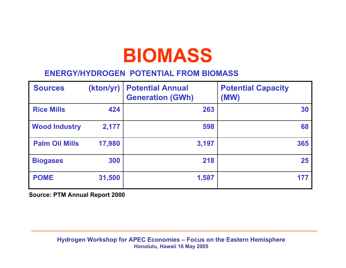## **BIOMASS**

#### **ENERGY/HYDROGEN POTENTIAL FROM BIOMASS**

| <b>Sources</b>        | (kton/yr) | <b>Potential Annual</b><br><b>Generation (GWh)</b> | <b>Potential Capacity</b><br>(MW) |
|-----------------------|-----------|----------------------------------------------------|-----------------------------------|
| <b>Rice Mills</b>     | 424       | 263                                                | 30                                |
| <b>Wood Industry</b>  | 2,177     | 598                                                | 68                                |
| <b>Palm Oil Mills</b> | 17,980    | 3,197                                              | 365                               |
| <b>Biogases</b>       | 300       | 218                                                | 25                                |
| <b>POME</b>           | 31,500    | 1,587                                              | 177                               |

**Source: PTM Annual Report 2000**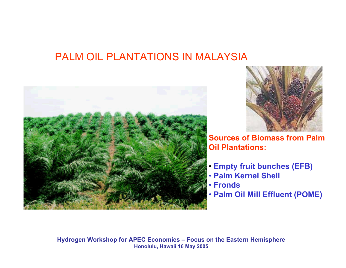### PALM OIL PLANTATIONS IN MALAYSIA





**Sources of Biomass from Palm Oil Plantations:**

- **Empty fruit bunches (EFB)**
- **Palm Kernel Shell**
- **Fronds**
- **Palm Oil Mill Effluent (POME)**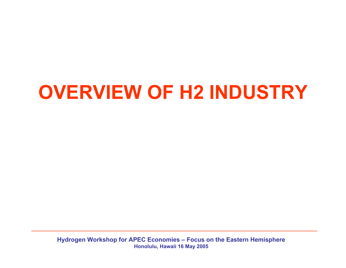# **OVERVIEW OF H2 INDUSTRY**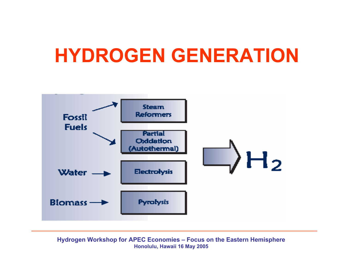## **HYDROGEN GENERATION**

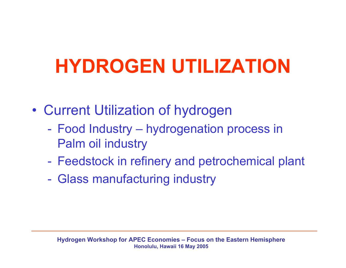# **HYDROGEN UTILIZATION**

- • Current Utilization of hydrogen
	- Food Industry hydrogenation process in Palm oil industry
	- Feedstock in refinery and petrochemical plant
	- Glass manufacturing industry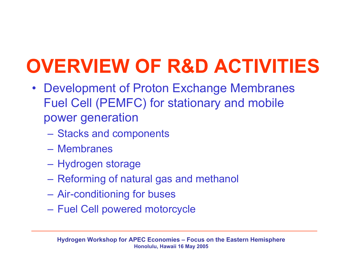# **OVERVIEW OF R&D ACTIVITIES**

- $\bullet$ Development of Proton Exchange Membranes Fuel Cell (PEMFC) for stationary and mobile power generation
	- Stacks and components
	- –Membranes
	- Hydrogen storage
	- Reforming of natural gas and methanol
	- Air-conditioning for buses
	- Fuel Cell powered motorcycle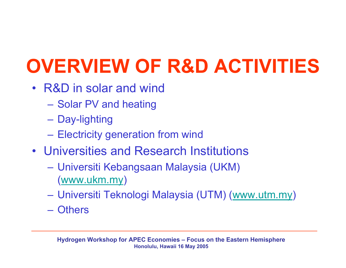# **OVERVIEW OF R&D ACTIVITIES**

- •R&D in solar and wind
	- Solar PV and heating
	- Day-lighting
	- Electricity generation from wind
- •Universities and Research Institutions
	- Universiti Kebangsaan Malaysia (UKM) ([www.ukm.my](http://www.ukm.my/))
	- Universiti Teknologi Malaysia (UTM) ([www.utm.my](http://www.utm.my/))
	- Others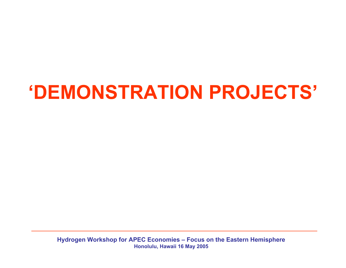# **'DEMONSTRATION PROJECTS'**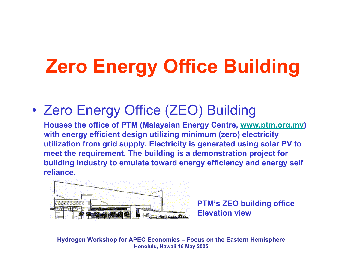# **Zero Energy Office Building**

•Zero Energy Office (ZEO) Building

**Houses the office of PTM (Malaysian Energy Centre, www.ptm.org.my) with energy efficient design utilizing minimum (zero) electricity utilization from grid supply. Electricity is generated using solar PV to meet the requirement. The building is a demonstration project for building industry to emulate toward energy efficiency and energy self reliance.**



**PTM's ZEO building office – Elevation view**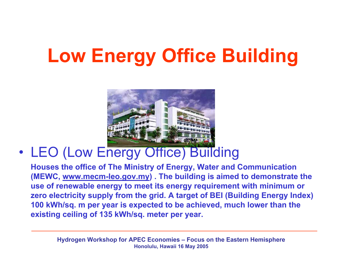# **Low Energy Office Building**



#### •• LEO (Low Energy Office) Building

**Houses the office of The Ministry of Energy, Water and Communication (MEWC, www.mecm-leo.gov.my) . The building is aimed to demonstrate the use of renewable energy to meet its energy requirement with minimum or zero electricity supply from the grid. A target of BEI (Building Energy Index) 100 kWh/sq. m per year is expected to be achieved, much lower than the existing ceiling of 135 kWh/sq. meter per year.**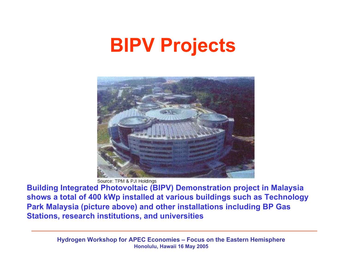## **BIPV Projects**



Source: TPM & PJI Holdings

**Building Integrated Photovoltaic (BIPV) Demonstration project in Malaysia shows a total of 400 kWp installed at various buildings such as Technology Park Malaysia (picture above) and other installations including BP Gas Stations, research institutions, and universities**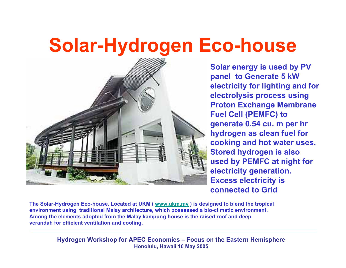## **Solar-Hydrogen Eco-house**



**Solar energy is used by PV panel to Generate 5 kW electricity for lighting and for electrolysis process using Proton Exchange Membrane Fuel Cell (PEMFC) to generate 0.54 cu. m per hr hydrogen as clean fuel for cooking and hot water uses. Stored hydrogen is also used by PEMFC at night for electricity generation. Excess electricity is connected to Grid**

**The Solar-Hydro gen Eco-h ouse, L ocated at UKM ( [www.u](http://www.ukm.my/) km.my ) is desi g ned t o blend the tropical environment using traditional Malay architecture, w hich p ossessed a bio-climatic environment.**  Among the elements adopted from the Malay kampung house is the raised roof and deep **verandah for efficient ventilation and cooling.**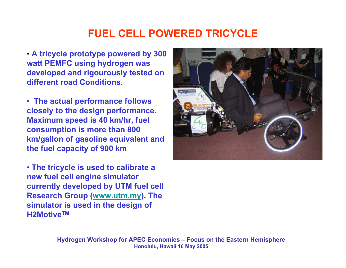## **FUEL CELL POWERED TRICYCLE**

• **A tricycle prototype powered by 300 watt PEMFC using hydrogen was developed and rigourously tested on different road Conditions.**

• **The actual performance follows closely to the design performance. Maximum speed is 40 km/hr, fuel consumption is more than 800 km/gallon of gasoline equivalent and the fuel capacity of 900 km**

• **The tricycle is used to calibrate a new fuel cell engine simulator currently developed by UTM fuel cell Research Group ([www.utm.my](http://www.utm.my/)). The simulator is used in the design of H2MotiveTM** 

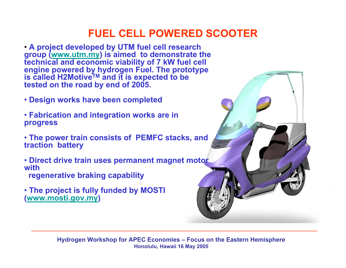### **FUEL CELL POWERED SCOOTER**

• **A project developed by UTM fuel cell research group (www.utm.my) is aimed to demonstrate the technical and economic viability of 7 kW fuel cell engine powered by hydrogen Fuel. The prototype is called H2MotiveTM and it is expected to be tested on the road by end of 2005.**

- **Design works have been completed**
- **Fabrication and integration works are in progress**
- **The power train consists of PEMFC stacks, and traction battery**
- **Direct drive train uses permanent magnet motor with regenerative braking capability**
- **The project is fully funded by MOSTI (www.mosti.gov.my)**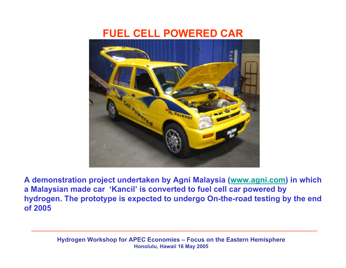### **FUEL CELL POWERED CAR**



**A demonstration project undertaken by Agni Malaysia ([www.agni.com](http://www.agni.com/)) in which a Malaysian made car 'Kancil' is converted to fuel cell car powered by hydrogen. The prototype is expected to undergo On-the-road testing by the end of 2005**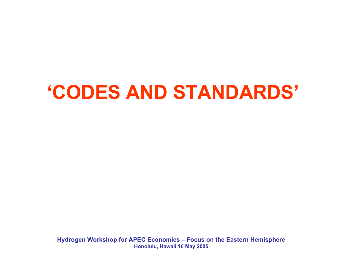## **'CODES AND STANDARDS'**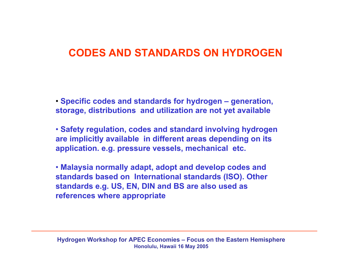### **CODES AND STANDARDS ON HYDROGEN**

• **Specific codes and standards for hydrogen – generation, storage, distributions and utilization are not yet available**

• **Safety regulation, codes and standard involving hydrogen are implicitly available in different areas depending on its application. e.g. pressure vessels, mechanical etc.**

• **Malaysia normally adapt, adopt and develop codes and standards based on International standards (ISO). Other standards e.g. US, EN, DIN and BS are also used as references where appropriate**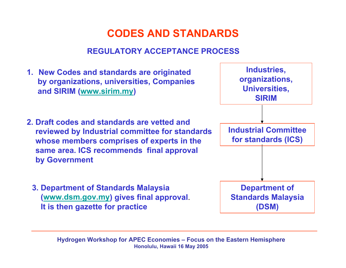## **CODES AND STANDARDS**

#### **REGULATORY ACCEPTANCE PROCESS**

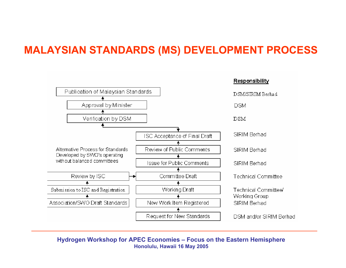### **MALAYSIAN STANDARDS (MS) DEVELOPMENT PROCESS**

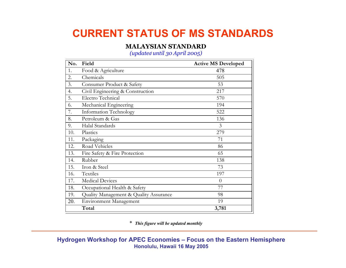## **CURRENT STATUS OF MS STANDARDS**

#### **MALAYSIAN STANDARD**

*(up date <sup>d</sup> until 3 0 April 2 0 0 5)*

| No. | Field                                  | <b>Active MS Developed</b> |
|-----|----------------------------------------|----------------------------|
| 1.  | Food & Agriculture                     | 478                        |
| 2.  | Chemicals                              | 505                        |
| 3.  | Consumer Product & Safety              | 53                         |
| 4.  | Civil Engineering & Construction       | 217                        |
| 5.  | Electro Technical                      | 570                        |
| 6.  | Mechanical Engineering                 | 194                        |
| 7.  | Information Technology                 | 522                        |
| 8.  | Petroleum & Gas                        | 136                        |
| 9.  | Halal Standards                        | 3                          |
| 10. | Plastics                               | 279                        |
| 11. | Packaging                              | 71                         |
| 12. | Road Vehicles                          | 86                         |
| 13. | Fire Safety & Fire Protection          | 65                         |
| 14. | Rubber                                 | 138                        |
| 15. | Iron & Steel                           | 73                         |
| 16. | Textiles                               | 197                        |
| 17. | <b>Medical Devices</b>                 | $\theta$                   |
| 18. | Occupational Health & Safety           | 77                         |
| 19. | Quality Management & Quality Assurance | 98                         |
| 20. | <b>Environment Management</b>          | 19                         |
|     | Total                                  | 3,781                      |

\* *This figure will be updated monthly*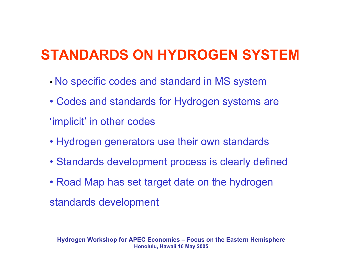## **STANDARDS ON HYDROGEN SYSTEM**

- •No specific codes and standard in MS system
- Codes and standards for Hydrogen systems are
- 'implicit' in other codes
- Hydrogen generators use their own standards
- Standards development process is clearly defined
- Road Map has set target date on the hydrogen

standards development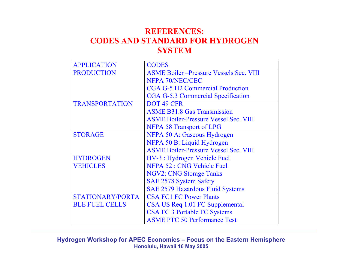#### **REFERENCES: CODES AND STANDARD FOR HYDROGEN SYSTEM**

| <b>APPLICATION</b>    | <b>CODES</b>                                  |  |  |  |  |  |
|-----------------------|-----------------------------------------------|--|--|--|--|--|
| <b>PRODUCTION</b>     | <b>ASME Boiler-Pressure Vessels Sec. VIII</b> |  |  |  |  |  |
|                       | NFPA 70/NEC/CEC                               |  |  |  |  |  |
|                       | <b>CGA G-5 H2 Commercial Production</b>       |  |  |  |  |  |
|                       | CGA G-5.3 Commercial Specification            |  |  |  |  |  |
| <b>TRANSPORTATION</b> | DOT 49 CFR                                    |  |  |  |  |  |
|                       | <b>ASME B31.8 Gas Transmission</b>            |  |  |  |  |  |
|                       | <b>ASME Boiler-Pressure Vessel Sec. VIII</b>  |  |  |  |  |  |
|                       | <b>NFPA 58 Transport of LPG</b>               |  |  |  |  |  |
| <b>STORAGE</b>        | NFPA 50 A: Gaseous Hydrogen                   |  |  |  |  |  |
|                       | NFPA 50 B: Liquid Hydrogen                    |  |  |  |  |  |
|                       | <b>ASME Boiler-Pressure Vessel Sec. VIII</b>  |  |  |  |  |  |
| <b>HYDROGEN</b>       | HV-3 : Hydrogen Vehicle Fuel                  |  |  |  |  |  |
| <b>VEHICLES</b>       | NFPA 52 : CNG Vehicle Fuel                    |  |  |  |  |  |
|                       | <b>NGV2: CNG Storage Tanks</b>                |  |  |  |  |  |
|                       | <b>SAE 2578 System Safety</b>                 |  |  |  |  |  |
|                       | <b>SAE 2579 Hazardous Fluid Systems</b>       |  |  |  |  |  |
| STATIONARY/PORTA      | <b>CSA FC1 FC Power Plants</b>                |  |  |  |  |  |
| <b>BLE FUEL CELLS</b> | CSA US Req 1.01 FC Supplemental               |  |  |  |  |  |
|                       | <b>CSA FC 3 Portable FC Systems</b>           |  |  |  |  |  |
|                       | <b>ASME PTC 50 Performance Test</b>           |  |  |  |  |  |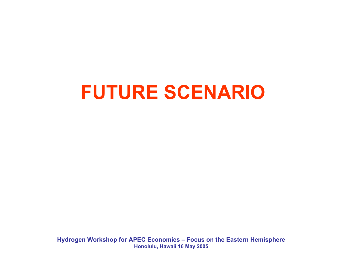## **FUTURE SCENARIO**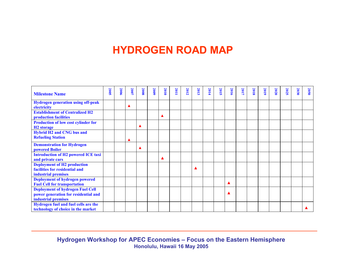### **HYDROGEN ROAD MAP**

| <b>Milestone Name</b>                                                                                  | <b>2005</b> | 2006 | 2007 | 2008 | <b>2009</b> | 2010 | <b>2011</b> | 2012 | 2013 | 2014 | 2015 | 2016 | 2017 | 2018 | 2019 | <b>2020</b> | 2025 | 2030 | <b>2050</b> |
|--------------------------------------------------------------------------------------------------------|-------------|------|------|------|-------------|------|-------------|------|------|------|------|------|------|------|------|-------------|------|------|-------------|
| <b>Hydrogen generation using off-peak</b><br>electricity                                               |             |      | ▲    |      |             |      |             |      |      |      |      |      |      |      |      |             |      |      |             |
| <b>Establishment of Centralized H2</b><br>production facilities                                        |             |      |      |      |             |      |             |      |      |      |      |      |      |      |      |             |      |      |             |
| <b>Production of low cost cylinder for</b><br>H <sub>2</sub> storage                                   |             |      |      |      |             |      |             |      |      |      |      |      |      |      |      |             |      |      |             |
| <b>Hybrid H2 and CNG bus and</b><br><b>Refueling Station</b>                                           |             |      |      |      |             |      |             |      |      |      |      |      |      |      |      |             |      |      |             |
| <b>Demonstration for Hydrogen</b><br>powered Boiler                                                    |             |      |      |      |             |      |             |      |      |      |      |      |      |      |      |             |      |      |             |
| <b>Introduction of H2 powered ICE taxi</b><br>and private cars                                         |             |      |      |      |             |      |             |      |      |      |      |      |      |      |      |             |      |      |             |
| <b>Deployment of H2 production</b><br>facilities for residential and<br>industrial premises            |             |      |      |      |             |      |             |      |      |      |      |      |      |      |      |             |      |      |             |
| <b>Deployment of hydrogen powered</b><br><b>Fuel Cell for transportation</b>                           |             |      |      |      |             |      |             |      |      |      |      |      |      |      |      |             |      |      |             |
| <b>Deployment of hydrogen Fuel Cell</b><br>power generation for residential and<br>industrial premises |             |      |      |      |             |      |             |      |      |      |      |      |      |      |      |             |      |      |             |
| Hydrogen fuel and fuel cells are the<br>technology of choice in the market                             |             |      |      |      |             |      |             |      |      |      |      |      |      |      |      |             |      |      |             |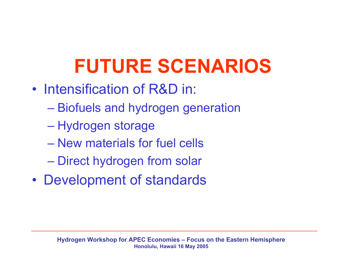# **FUTURE SCENARIOS**

- Intensification of R&D in:
	- Biofuels and hydrogen generation
	- Hydrogen storage
	- –New materials for fuel cells
	- Direct hydrogen from solar
- •Development of standards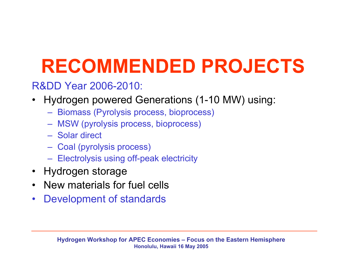# **RECOMMENDED PROJECTS**

## R&DD Year 2006-2010:

- •Hydrogen powered Generations (1-10 MW) using:
	- Biomass (Pyrolysis process, bioprocess)
	- MSW (pyroly sis process, bioprocess)
	- Solar direct
	- Coal (pyroly sis process)
	- Electrolysis using off-peak electricity
- •Hydrogen storage
- •New materials for fuel cells
- $\bullet$ Development of standards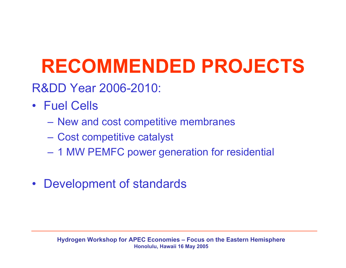# **RECOMMENDED PROJECTS**

- R&DD Year 2006-2010:
- Fuel Cells
	- New and cost competitive membranes
	- Cost competitive catalyst
	- 1 MW PEMFC power generation for residential
- •Development of standards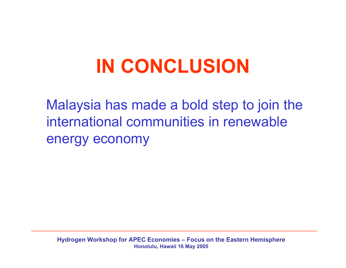# **IN CONCLUSION**

Malaysia has made a bold step to join the international communities in renewable energy economy